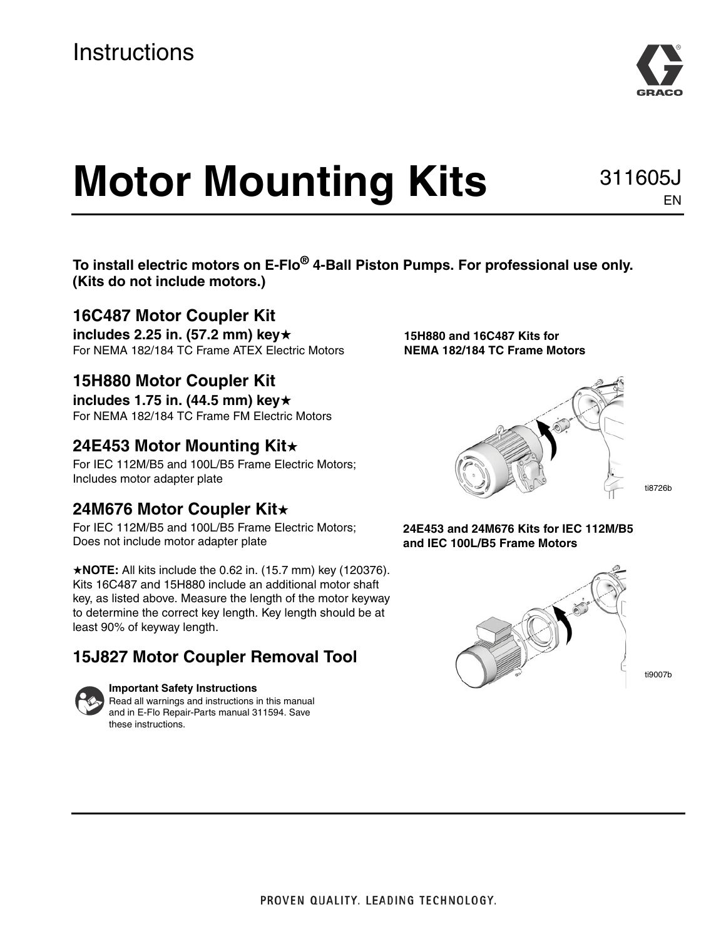# **Motor Mounting Kits**

**To install electric motors on E-Flo® 4-Ball Piston Pumps. For professional use only. (Kits do not include motors.)**

### **16C487 Motor Coupler Kit**

**includes 2.25 in. (57.2 mm) key**★ For NEMA 182/184 TC Frame ATEX Electric Motors

### **15H880 Motor Coupler Kit**

**includes 1.75 in. (44.5 mm) key**★ For NEMA 182/184 TC Frame FM Electric Motors

### **24E453 Motor Mounting Kit**★

For IEC 112M/B5 and 100L/B5 Frame Electric Motors; Includes motor adapter plate

### **24M676 Motor Coupler Kit**★

For IEC 112M/B5 and 100L/B5 Frame Electric Motors; Does not include motor adapter plate

★**NOTE:** All kits include the 0.62 in. (15.7 mm) key (120376). Kits 16C487 and 15H880 include an additional motor shaft key, as listed above. Measure the length of the motor keyway to determine the correct key length. Key length should be at least 90% of keyway length.

### **15J827 Motor Coupler Removal Tool**



#### **Important Safety Instructions** Read all warnings and instructions in this manual

and in E-Flo Repair-Parts manual 311594. Save these instructions.

**15H880 and 16C487 Kits for NEMA 182/184 TC Frame Motors**



ti8726b

#### **24E453 and 24M676 Kits for IEC 112M/B5 and IEC 100L/B5 Frame Motors**





311605J

EN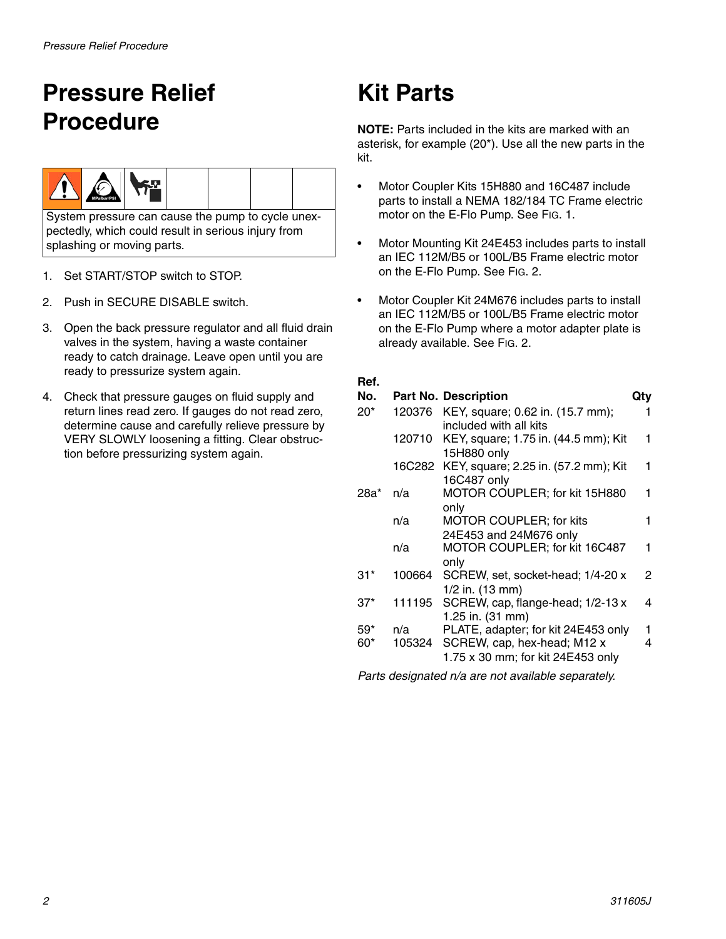# <span id="page-1-0"></span>**Pressure Relief Procedure**



System pressure can cause the pump to cycle unexpectedly, which could result in serious injury from splashing or moving parts.

- 1. Set START/STOP switch to STOP.
- 2. Push in SECURE DISABLE switch.
- 3. Open the back pressure regulator and all fluid drain valves in the system, having a waste container ready to catch drainage. Leave open until you are ready to pressurize system again.
- 4. Check that pressure gauges on fluid supply and return lines read zero. If gauges do not read zero, determine cause and carefully relieve pressure by VERY SLOWLY loosening a fitting. Clear obstruction before pressurizing system again.

# **Kit Parts**

**NOTE:** Parts included in the kits are marked with an asterisk, for example (20\*). Use all the new parts in the kit.

- Motor Coupler Kits 15H880 and 16C487 include parts to install a NEMA 182/184 TC Frame electric motor on the E-Flo Pump. See FIG. 1.
- Motor Mounting Kit 24E453 includes parts to install an IEC 112M/B5 or 100L/B5 Frame electric motor on the E-Flo Pump. See FIG. 2.
- Motor Coupler Kit 24M676 includes parts to install an IEC 112M/B5 or 100L/B5 Frame electric motor on the E-Flo Pump where a motor adapter plate is already available. See FIG. 2.

#### **Ref.**

| No.   |        | <b>Part No. Description</b>                             |   |
|-------|--------|---------------------------------------------------------|---|
| $20*$ | 120376 | KEY, square; 0.62 in. (15.7 mm);                        |   |
|       |        | included with all kits                                  |   |
|       | 120710 | KEY, square; 1.75 in. (44.5 mm); Kit                    | 1 |
|       |        | 15H880 only<br>KEY, square; 2.25 in. (57.2 mm); Kit     | 1 |
|       | 16C282 | 16C487 only                                             |   |
| 28a*  | n/a    | MOTOR COUPLER; for kit 15H880                           |   |
|       |        | only                                                    |   |
|       | n/a    | <b>MOTOR COUPLER; for kits</b>                          |   |
|       |        | 24E453 and 24M676 only                                  |   |
|       | n/a    | MOTOR COUPLER; for kit 16C487                           | 1 |
|       |        | only                                                    |   |
| 31*   | 100664 | SCREW, set, socket-head; 1/4-20 x                       | 2 |
|       |        | 1/2 in. (13 mm)                                         |   |
| 37*   | 111195 | SCREW, cap, flange-head; 1/2-13 x                       | 4 |
| $59*$ | n/a    | 1.25 in. (31 mm)<br>PLATE, adapter; for kit 24E453 only | 1 |
| 60*   | 105324 | SCREW, cap, hex-head; M12 x                             | 4 |
|       |        | 1.75 x 30 mm; for kit 24E453 only                       |   |
|       |        |                                                         |   |

*Parts designated n/a are not available separately.*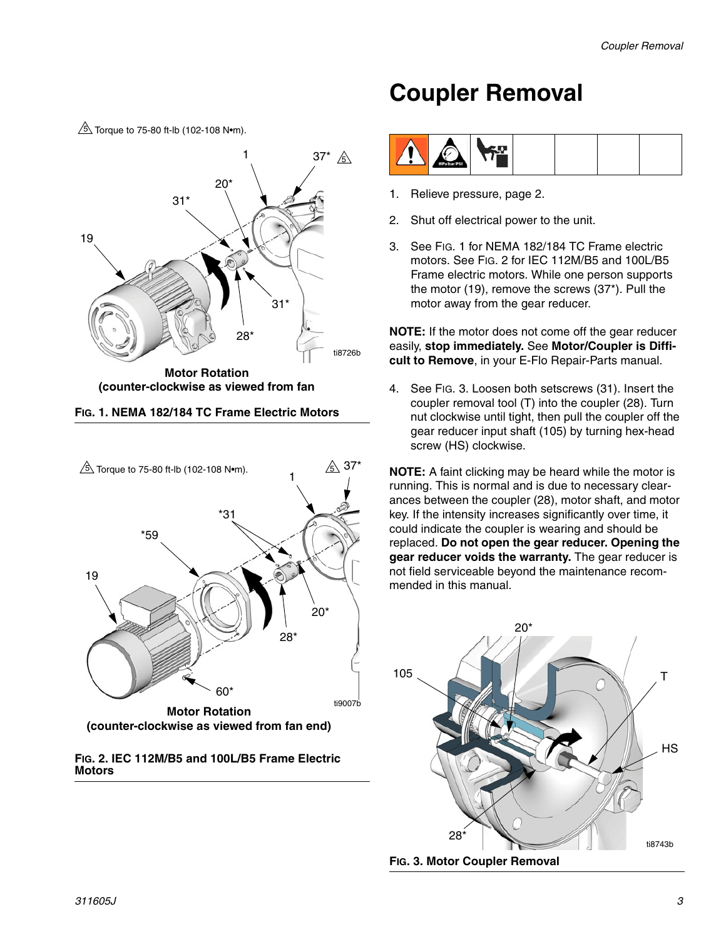### ti8726b 19 37\* 31\*  $20^{\circ}$ 28\* 31\* **Motor Rotation (counter-clockwise as viewed from fan**  1  $\sqrt{5}$  Torque to 75-80 ft-lb (102-108 N•m).  $\mathcal{A}$







# **Coupler Removal**



- 1. Relieve pressure, page [2.](#page-1-0)
- 2. Shut off electrical power to the unit.
- 3. See FIG. 1 for NEMA 182/184 TC Frame electric motors. See FIG. 2 for IEC 112M/B5 and 100L/B5 Frame electric motors. While one person supports the motor (19), remove the screws (37\*). Pull the motor away from the gear reducer.

**NOTE:** If the motor does not come off the gear reducer easily, **stop immediately.** See **Motor/Coupler is Difficult to Remove**, in your E-Flo Repair-Parts manual.

4. See FIG. 3. Loosen both setscrews (31). Insert the coupler removal tool (T) into the coupler (28). Turn nut clockwise until tight, then pull the coupler off the gear reducer input shaft (105) by turning hex-head screw (HS) clockwise.

**NOTE:** A faint clicking may be heard while the motor is running. This is normal and is due to necessary clearances between the coupler (28), motor shaft, and motor key. If the intensity increases significantly over time, it could indicate the coupler is wearing and should be replaced. **Do not open the gear reducer. Opening the gear reducer voids the warranty.** The gear reducer is not field serviceable beyond the maintenance recommended in this manual.



**FIG. 3. Motor Coupler Removal**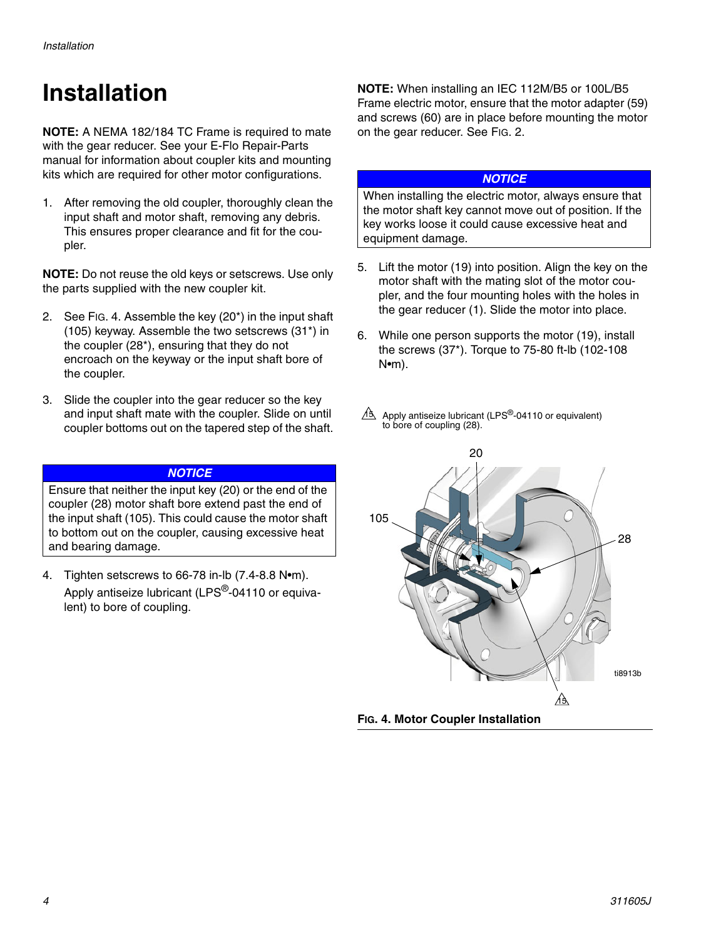# **Installation**

**NOTE:** A NEMA 182/184 TC Frame is required to mate with the gear reducer. See your E-Flo Repair-Parts manual for information about coupler kits and mounting kits which are required for other motor configurations.

1. After removing the old coupler, thoroughly clean the input shaft and motor shaft, removing any debris. This ensures proper clearance and fit for the coupler.

**NOTE:** Do not reuse the old keys or setscrews. Use only the parts supplied with the new coupler kit.

- 2. See [FIG. 4](#page-3-0). Assemble the key (20\*) in the input shaft (105) keyway. Assemble the two setscrews (31\*) in the coupler (28\*), ensuring that they do not encroach on the keyway or the input shaft bore of the coupler.
- 3. Slide the coupler into the gear reducer so the key and input shaft mate with the coupler. Slide on until coupler bottoms out on the tapered step of the shaft.

#### *NOTICE*

Ensure that neither the input key (20) or the end of the coupler (28) motor shaft bore extend past the end of the input shaft (105). This could cause the motor shaft to bottom out on the coupler, causing excessive heat and bearing damage.

4. Tighten setscrews to 66-78 in-lb (7.4-8.8 N•m). Apply antiseize lubricant (LPS<sup>®</sup>-04110 or equivalent) to bore of coupling.

**NOTE:** When installing an IEC 112M/B5 or 100L/B5 Frame electric motor, ensure that the motor adapter (59) and screws (60) are in place before mounting the motor on the gear reducer. See FIG. 2.

#### *NOTICE*

When installing the electric motor, always ensure that the motor shaft key cannot move out of position. If the key works loose it could cause excessive heat and equipment damage.

- 5. Lift the motor (19) into position. Align the key on the motor shaft with the mating slot of the motor coupler, and the four mounting holes with the holes in the gear reducer (1). Slide the motor into place.
- 6. While one person supports the motor (19), install the screws (37\*). Torque to 75-80 ft-lb (102-108 N•m).
- Apply antiseize lubricant (LPS $^{\circledR}$ -04110 or equivalent) to bore of coupling (28).  $A3$

<span id="page-3-0"></span>